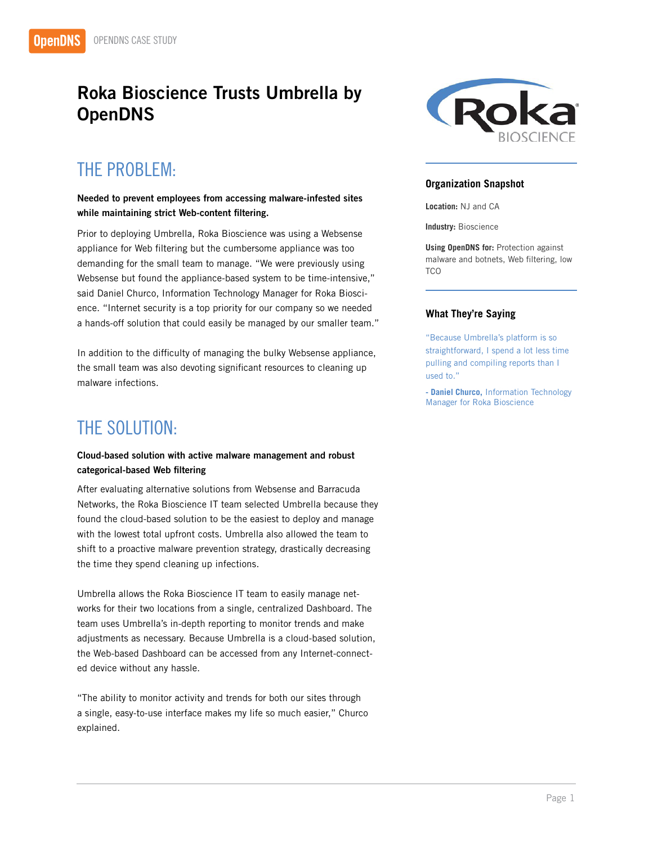## Roka Bioscience Trusts Umbrella by **OpenDNS**

### THE PROBLEM:

#### Needed to prevent employees from accessing malware-infested sites while maintaining strict Web-content filtering.

Prior to deploying Umbrella, Roka Bioscience was using a Websense appliance for Web filtering but the cumbersome appliance was too demanding for the small team to manage. "We were previously using Websense but found the appliance-based system to be time-intensive," said Daniel Churco, Information Technology Manager for Roka Bioscience. "Internet security is a top priority for our company so we needed a hands-off solution that could easily be managed by our smaller team."

In addition to the difficulty of managing the bulky Websense appliance, the small team was also devoting significant resources to cleaning up malware infections.

### THE SOLUTION:

#### Cloud-based solution with active malware management and robust categorical-based Web filtering

After evaluating alternative solutions from Websense and Barracuda Networks, the Roka Bioscience IT team selected Umbrella because they found the cloud-based solution to be the easiest to deploy and manage with the lowest total upfront costs. Umbrella also allowed the team to shift to a proactive malware prevention strategy, drastically decreasing the time they spend cleaning up infections.

Umbrella allows the Roka Bioscience IT team to easily manage networks for their two locations from a single, centralized Dashboard. The team uses Umbrella's in-depth reporting to monitor trends and make adjustments as necessary. Because Umbrella is a cloud-based solution, the Web-based Dashboard can be accessed from any Internet-connected device without any hassle.

"The ability to monitor activity and trends for both our sites through a single, easy-to-use interface makes my life so much easier," Churco explained.



#### **Organization Snapshot**

**Location:** NJ and CA

**Industry:** Bioscience

**Using OpenDNS for:** Protection against malware and botnets, Web filtering, low **TCO** 

#### **What They're Saying**

"Because Umbrella's platform is so straightforward, I spend a lot less time pulling and compiling reports than I used to."

**- Daniel Churco,** Information Technology Manager for Roka Bioscience